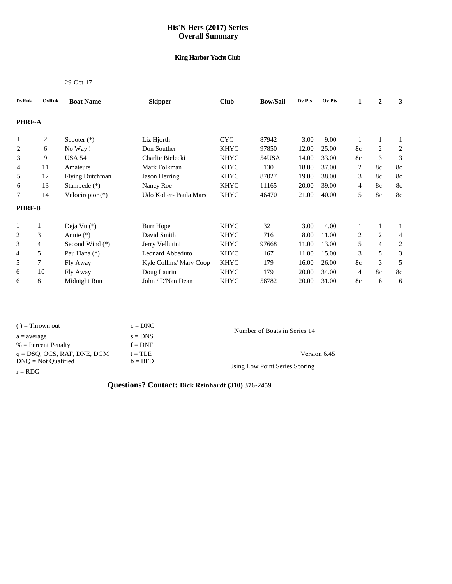## **His'N Hers (2017) Series Overall Summary**

### **King Harbor Yacht Club**

#### 29-Oct-17

| <b>DvRnk</b>   | OvRnk | <b>Boat Name</b>       | <b>Skipper</b>          | <b>Club</b> | <b>Bow/Sail</b> | Dv Pts | Ov Pts | 1  | $\overline{2}$ | 3  |
|----------------|-------|------------------------|-------------------------|-------------|-----------------|--------|--------|----|----------------|----|
| <b>PHRF-A</b>  |       |                        |                         |             |                 |        |        |    |                |    |
| 1              | 2     | Scooter $(*)$          | Liz Hjorth              | <b>CYC</b>  | 87942           | 3.00   | 9.00   |    | $\mathbf{1}$   |    |
| 2              | 6     | No Way!                | Don Souther             | <b>KHYC</b> | 97850           | 12.00  | 25.00  | 8c | $\overline{2}$ | 2  |
| 3              | 9     | <b>USA 54</b>          | Charlie Bielecki        | <b>KHYC</b> | 54USA           | 14.00  | 33.00  | 8c | 3              | 3  |
| 4              | 11    | Amateurs               | Mark Folkman            | <b>KHYC</b> | 130             | 18.00  | 37.00  | 2  | 8c             | 8c |
| 5              | 12    | <b>Flying Dutchman</b> | Jason Herring           | <b>KHYC</b> | 87027           | 19.00  | 38.00  | 3  | 8c             | 8c |
| 6              | 13    | Stampede $(*)$         | Nancy Roe               | <b>KHYC</b> | 11165           | 20.00  | 39.00  | 4  | 8c             | 8c |
| 7              | 14    | Velociraptor $(*)$     | Udo Kolter- Paula Mars  | <b>KHYC</b> | 46470           | 21.00  | 40.00  | 5  | 8c             | 8c |
| <b>PHRF-B</b>  |       |                        |                         |             |                 |        |        |    |                |    |
| 1              | 1     | Deja Vu (*)            | <b>Burr Hope</b>        | <b>KHYC</b> | 32              | 3.00   | 4.00   | 1  | $\mathbf{1}$   | 1  |
| 2              | 3     | Annie $(*)$            | David Smith             | <b>KHYC</b> | 716             | 8.00   | 11.00  | 2  | $\overline{2}$ | 4  |
| 3              | 4     | Second Wind (*)        | Jerry Vellutini         | <b>KHYC</b> | 97668           | 11.00  | 13.00  | 5  | $\overline{4}$ | 2  |
| $\overline{4}$ | 5     | Pau Hana (*)           | Leonard Abbeduto        | <b>KHYC</b> | 167             | 11.00  | 15.00  | 3  | 5              | 3  |
| 5              | 7     | Fly Away               | Kyle Collins/ Mary Coop | <b>KHYC</b> | 179             | 16.00  | 26.00  | 8c | 3              | 5  |
| 6              | 10    | Fly Away               | Doug Laurin             | <b>KHYC</b> | 179             | 20.00  | 34.00  | 4  | 8c             | 8c |
| 6              | 8     | Midnight Run           | John / D'Nan Dean       | <b>KHYC</b> | 56782           | 20.00  | 31.00  | 8c | 6              | 6  |

| $()$ = Thrown out              | $c = DNC$ | Number of Boats in Series 14   |
|--------------------------------|-----------|--------------------------------|
| $a = average$                  | $s = DNS$ |                                |
| $%$ = Percent Penalty          | $f = DNF$ |                                |
| $q = DSQ$ , OCS, RAF, DNE, DGM | $t = TLE$ | Version 6.45                   |
| $DNO = Not$ Qualified          | $b = BFD$ | Using Low Point Series Scoring |
| $r = RDG$                      |           |                                |

# **Questions? Contact: Dick Reinhardt (310) 376-2459**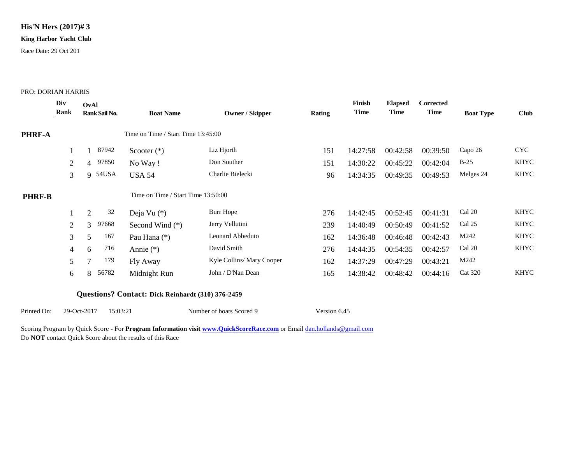## **His'N Hers (2017)# 3**

### **King Harbor Yacht Club**

Race Date: 29 Oct 201

#### PRO: DORIAN HARRIS

|               | Div<br>Rank    | OvAl          | Rank Sail No. | <b>Boat Name</b>                   | Owner / Skipper           | Rating | Finish<br>Time | <b>Elapsed</b><br>Time | <b>Corrected</b><br>Time | <b>Boat Type</b> | <b>Club</b> |
|---------------|----------------|---------------|---------------|------------------------------------|---------------------------|--------|----------------|------------------------|--------------------------|------------------|-------------|
| PHRF-A        |                |               |               | Time on Time / Start Time 13:45:00 |                           |        |                |                        |                          |                  |             |
|               |                |               | 87942         | Scooter $(*)$                      | Liz Hjorth                | 151    | 14:27:58       | 00:42:58               | 00:39:50                 | Capo 26          | <b>CYC</b>  |
|               | $\overline{2}$ |               | 4 97850       | No Way!                            | Don Souther               | 151    | 14:30:22       | 00:45:22               | 00:42:04                 | $B-25$           | KHYC        |
|               | 3              |               | 9 54USA       | <b>USA 54</b>                      | Charlie Bielecki          | 96     | 14:34:35       | 00:49:35               | 00:49:53                 | Melges 24        | <b>KHYC</b> |
| <b>PHRF-B</b> |                |               |               | Time on Time / Start Time 13:50:00 |                           |        |                |                        |                          |                  |             |
|               | 1              | 2             | 32            | Deja Vu $(*)$                      | Burr Hope                 | 276    | 14:42:45       | 00:52:45               | 00:41:31                 | Cal 20           | <b>KHYC</b> |
|               | $\overline{2}$ | $\mathcal{F}$ | 97668         | Second Wind (*)                    | Jerry Vellutini           | 239    | 14:40:49       | 00:50:49               | 00:41:52                 | Cal 25           | <b>KHYC</b> |
|               | 3              | 5             | 167           | Pau Hana (*)                       | Leonard Abbeduto          | 162    | 14:36:48       | 00:46:48               | 00:42:43                 | M242             | <b>KHYC</b> |
|               | $\overline{4}$ | 6             | 716           | Annie $(*)$                        | David Smith               | 276    | 14:44:35       | 00:54:35               | 00:42:57                 | Cal 20           | KHYC        |
|               | 5              | 7             | 179           | Fly Away                           | Kyle Collins/ Mary Cooper | 162    | 14:37:29       | 00:47:29               | 00:43:21                 | M242             |             |
|               | 6              | 8             | 56782         | Midnight Run                       | John / D'Nan Dean         | 165    | 14:38:42       | 00:48:42               | 00:44:16                 | <b>Cat 320</b>   | <b>KHYC</b> |

### **Questions? Contact: Dick Reinhardt (310) 376-2459**

Printed On: 29-Oct-2017 15:03:21 Number of boats Scored 9 Version 6.45

Scoring Program by Quick Score - For **Program Information visit [www.QuickScoreRace.com](http://www.quickscorerace.com/)** or Email [dan.hollands@gmail.com](mailto:dan.hollands@gmail.com) Do **NOT** contact Quick Score about the results of this Race